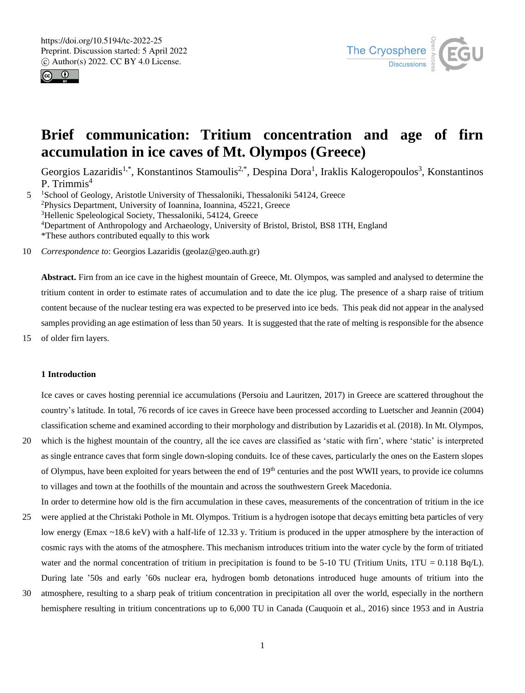



# **Brief communication: Tritium concentration and age of firn accumulation in ice caves of Mt. Olympos (Greece)**

Georgios Lazaridis<sup>1,\*</sup>, Konstantinos Stamoulis<sup>2,\*</sup>, Despina Dora<sup>1</sup>, Iraklis Kalogeropoulos<sup>3</sup>, Konstantinos P. Trimmis $4$ 

5 <sup>1</sup> School of Geology, Aristotle University of Thessaloniki, Thessaloniki 54124, Greece <sup>2</sup>Physics Department, University of Ioannina, Ioannina, 45221, Greece <sup>3</sup>Hellenic Speleological Society, Thessaloniki, 54124, Greece <sup>4</sup>Department of Anthropology and Archaeology, University of Bristol, Bristol, BS8 1TH, England \*These authors contributed equally to this work

10 *Correspondence to*: Georgios Lazaridis (geolaz@geo.auth.gr)

**Abstract.** Firn from an ice cave in the highest mountain of Greece, Mt. Olympos, was sampled and analysed to determine the tritium content in order to estimate rates of accumulation and to date the ice plug. The presence of a sharp raise of tritium content because of the nuclear testing era was expected to be preserved into ice beds. This peak did not appear in the analysed samples providing an age estimation of less than 50 years. It is suggested that the rate of melting is responsible for the absence

15 of older firn layers.

## **1 Introduction**

Ice caves or caves hosting perennial ice accumulations (Persoiu and Lauritzen, 2017) in Greece are scattered throughout the country's latitude. In total, 76 records of ice caves in Greece have been processed according to Luetscher and Jeannin (2004) classification scheme and examined according to their morphology and distribution by Lazaridis et al. (2018). In Mt. Olympos,

- 20 which is the highest mountain of the country, all the ice caves are classified as 'static with firn', where 'static' is interpreted as single entrance caves that form single down-sloping conduits. Ice of these caves, particularly the ones on the Eastern slopes of Olympus, have been exploited for years between the end of  $19<sup>th</sup>$  centuries and the post WWII years, to provide ice columns to villages and town at the foothills of the mountain and across the southwestern Greek Macedonia.
- In order to determine how old is the firn accumulation in these caves, measurements of the concentration of tritium in the ice 25 were applied at the Christaki Pothole in Mt. Olympos. Tritium is a hydrogen isotope that decays emitting beta particles of very low energy (Emax ~18.6 keV) with a half-life of 12.33 y. Tritium is produced in the upper atmosphere by the interaction of cosmic rays with the atoms of the atmosphere. This mechanism introduces tritium into the water cycle by the form of tritiated water and the normal concentration of tritium in precipitation is found to be 5-10 TU (Tritium Units,  $1TU = 0.118$  Bq/L). During late '50s and early '60s nuclear era, hydrogen bomb detonations introduced huge amounts of tritium into the
- 30 atmosphere, resulting to a sharp peak of tritium concentration in precipitation all over the world, especially in the northern hemisphere resulting in tritium concentrations up to 6,000 TU in Canada (Cauquoin et al., 2016) since 1953 and in Austria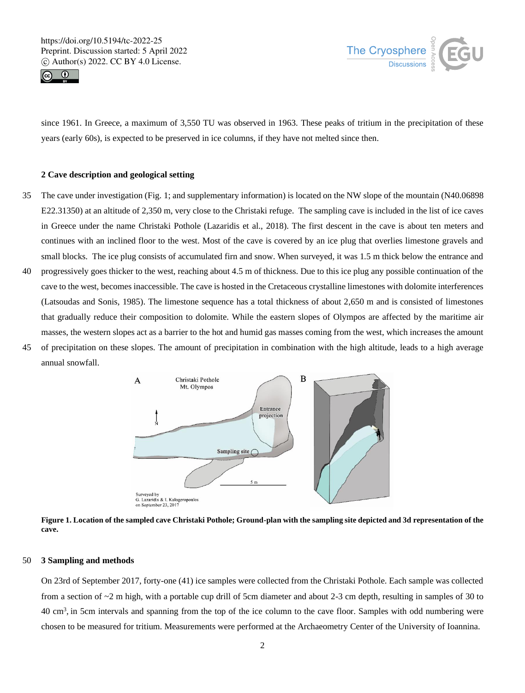https://doi.org/10.5194/tc-2022-25 Preprint. Discussion started: 5 April 2022  $\circ$  Author(s) 2022. CC BY 4.0 License.





since 1961. In Greece, a maximum of 3,550 TU was observed in 1963. These peaks of tritium in the precipitation of these years (early 60s), is expected to be preserved in ice columns, if they have not melted since then.

## **2 Cave description and geological setting**

- 35 The cave under investigation (Fig. 1; and supplementary information) is located on the NW slope of the mountain (N40.06898 E22.31350) at an altitude of 2,350 m, very close to the Christaki refuge. The sampling cave is included in the list of ice caves in Greece under the name Christaki Pothole (Lazaridis et al., 2018). The first descent in the cave is about ten meters and continues with an inclined floor to the west. Most of the cave is covered by an ice plug that overlies limestone gravels and small blocks. The ice plug consists of accumulated firn and snow. When surveyed, it was 1.5 m thick below the entrance and
- 40 progressively goes thicker to the west, reaching about 4.5 m of thickness. Due to this ice plug any possible continuation of the cave to the west, becomes inaccessible. The cave is hosted in the Cretaceous crystalline limestones with dolomite interferences (Latsoudas and Sonis, 1985). The limestone sequence has a total thickness of about 2,650 m and is consisted of limestones that gradually reduce their composition to dolomite. While the eastern slopes of Olympos are affected by the maritime air masses, the western slopes act as a barrier to the hot and humid gas masses coming from the west, which increases the amount
- 45 of precipitation on these slopes. The amount of precipitation in combination with the high altitude, leads to a high average annual snowfall.



**Figure 1. Location of the sampled cave Christaki Pothole; Ground-plan with the sampling site depicted and 3d representation of the cave.** 

#### 50 **3 Sampling and methods**

On 23rd of September 2017, forty-one (41) ice samples were collected from the Christaki Pothole. Each sample was collected from a section of  $\sim$ 2 m high, with a portable cup drill of 5cm diameter and about 2-3 cm depth, resulting in samples of 30 to 40 cm<sup>3</sup>, in 5cm intervals and spanning from the top of the ice column to the cave floor. Samples with odd numbering were chosen to be measured for tritium. Measurements were performed at the Archaeometry Center of the University of Ioannina.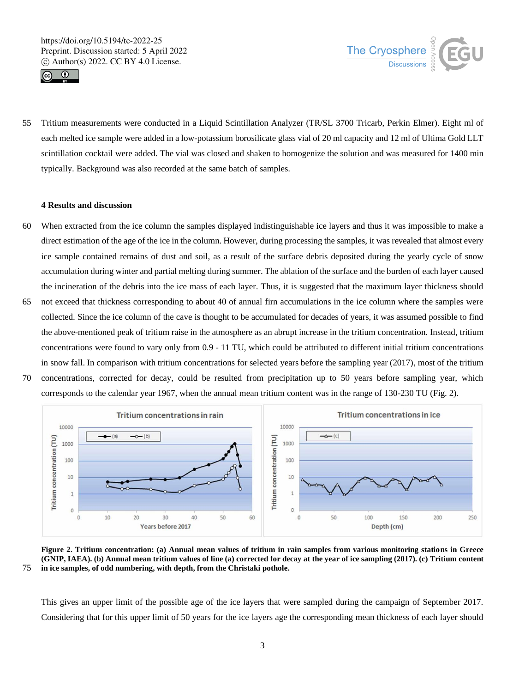https://doi.org/10.5194/tc-2022-25 Preprint. Discussion started: 5 April 2022  $\circ$  Author(s) 2022. CC BY 4.0 License.





55 Tritium measurements were conducted in a Liquid Scintillation Analyzer (TR/SL 3700 Tricarb, Perkin Elmer). Eight ml of each melted ice sample were added in a low-potassium borosilicate glass vial of 20 ml capacity and 12 ml of Ultima Gold LLT scintillation cocktail were added. The vial was closed and shaken to homogenize the solution and was measured for 1400 min typically. Background was also recorded at the same batch of samples.

### **4 Results and discussion**

- 60 When extracted from the ice column the samples displayed indistinguishable ice layers and thus it was impossible to make a direct estimation of the age of the ice in the column. However, during processing the samples, it was revealed that almost every ice sample contained remains of dust and soil, as a result of the surface debris deposited during the yearly cycle of snow accumulation during winter and partial melting during summer. The ablation of the surface and the burden of each layer caused the incineration of the debris into the ice mass of each layer. Thus, it is suggested that the maximum layer thickness should
- 65 not exceed that thickness corresponding to about 40 of annual firn accumulations in the ice column where the samples were collected. Since the ice column of the cave is thought to be accumulated for decades of years, it was assumed possible to find the above-mentioned peak of tritium raise in the atmosphere as an abrupt increase in the tritium concentration. Instead, tritium concentrations were found to vary only from 0.9 - 11 TU, which could be attributed to different initial tritium concentrations in snow fall. In comparison with tritium concentrations for selected years before the sampling year (2017), most of the tritium
- 70 concentrations, corrected for decay, could be resulted from precipitation up to 50 years before sampling year, which corresponds to the calendar year 1967, when the annual mean tritium content was in the range of 130-230 TU (Fig. 2).



**Figure 2. Tritium concentration: (a) Annual mean values of tritium in rain samples from various monitoring stations in Greece (GNIP, IAEA). (b) Annual mean tritium values of line (a) corrected for decay at the year of ice sampling (2017). (c) Tritium content**  75 **in ice samples, of odd numbering, with depth, from the Christaki pothole.** 

This gives an upper limit of the possible age of the ice layers that were sampled during the campaign of September 2017. Considering that for this upper limit of 50 years for the ice layers age the corresponding mean thickness of each layer should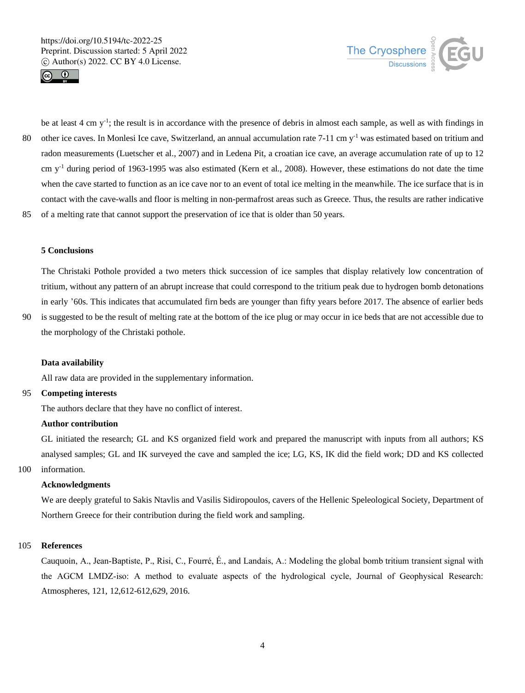https://doi.org/10.5194/tc-2022-25 Preprint. Discussion started: 5 April 2022  $\circ$  Author(s) 2022. CC BY 4.0 License.





be at least  $4 \text{ cm y}^{-1}$ ; the result is in accordance with the presence of debris in almost each sample, as well as with findings in 80 other ice caves. In Monlesi Ice cave, Switzerland, an annual accumulation rate 7-11 cm  $y<sup>-1</sup>$  was estimated based on tritium and radon measurements (Luetscher et al., 2007) and in Ledena Pit, a croatian ice cave, an average accumulation rate of up to 12 cm  $y^{-1}$  during period of 1963-1995 was also estimated (Kern et al., 2008). However, these estimations do not date the time when the cave started to function as an ice cave nor to an event of total ice melting in the meanwhile. The ice surface that is in contact with the cave-walls and floor is melting in non-permafrost areas such as Greece. Thus, the results are rather indicative 85 of a melting rate that cannot support the preservation of ice that is older than 50 years.

## **5 Conclusions**

The Christaki Pothole provided a two meters thick succession of ice samples that display relatively low concentration of tritium, without any pattern of an abrupt increase that could correspond to the tritium peak due to hydrogen bomb detonations in early '60s. This indicates that accumulated firn beds are younger than fifty years before 2017. The absence of earlier beds

90 is suggested to be the result of melting rate at the bottom of the ice plug or may occur in ice beds that are not accessible due to the morphology of the Christaki pothole.

#### **Data availability**

All raw data are provided in the supplementary information.

## 95 **Competing interests**

The authors declare that they have no conflict of interest.

## **Author contribution**

GL initiated the research; GL and KS organized field work and prepared the manuscript with inputs from all authors; KS analysed samples; GL and IK surveyed the cave and sampled the ice; LG, KS, IK did the field work; DD and KS collected

## 100 information.

## **Acknowledgments**

We are deeply grateful to Sakis Ntavlis and Vasilis Sidiropoulos, cavers of the Hellenic Speleological Society, Department of Northern Greece for their contribution during the field work and sampling.

#### 105 **References**

Cauquoin, A., Jean‐Baptiste, P., Risi, C., Fourré, É., and Landais, A.: Modeling the global bomb tritium transient signal with the AGCM LMDZ‐iso: A method to evaluate aspects of the hydrological cycle, Journal of Geophysical Research: Atmospheres, 121, 12,612-612,629, 2016.